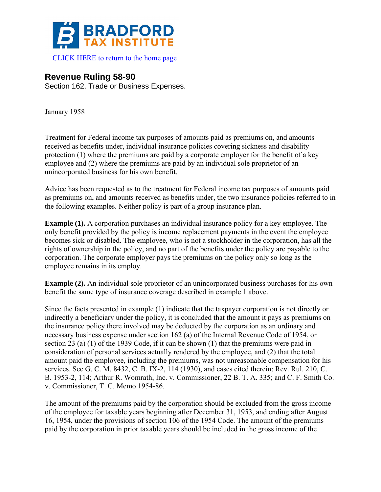

## **Revenue Ruling 58-90**

Section 162. Trade or Business Expenses.

January 1958

Treatment for Federal income tax purposes of amounts paid as premiums on, and amounts received as benefits under, individual insurance policies covering sickness and disability protection (1) where the premiums are paid by a corporate employer for the benefit of a key employee and (2) where the premiums are paid by an individual sole proprietor of an unincorporated business for his own benefit.

Advice has been requested as to the treatment for Federal income tax purposes of amounts paid as premiums on, and amounts received as benefits under, the two insurance policies referred to in the following examples. Neither policy is part of a group insurance plan.

**Example (1).** A corporation purchases an individual insurance policy for a key employee. The only benefit provided by the policy is income replacement payments in the event the employee becomes sick or disabled. The employee, who is not a stockholder in the corporation, has all the rights of ownership in the policy, and no part of the benefits under the policy are payable to the corporation. The corporate employer pays the premiums on the policy only so long as the employee remains in its employ.

**Example (2).** An individual sole proprietor of an unincorporated business purchases for his own benefit the same type of insurance coverage described in example 1 above.

Since the facts presented in example (1) indicate that the taxpayer corporation is not directly or indirectly a beneficiary under the policy, it is concluded that the amount it pays as premiums on the insurance policy there involved may be deducted by the corporation as an ordinary and necessary business expense under section 162 (a) of the Internal Revenue Code of 1954, or section 23 (a) (1) of the 1939 Code, if it can be shown (1) that the premiums were paid in consideration of personal services actually rendered by the employee, and (2) that the total amount paid the employee, including the premiums, was not unreasonable compensation for his services. See G. C. M. 8432, C. B. IX-2, 114 (1930), and cases cited therein; Rev. Rul. 210, C. B. 1953-2, 114; Arthur R. Womrath, Inc. v. Commissioner, 22 B. T. A. 335; and C. F. Smith Co. v. Commissioner, T. C. Memo 1954-86.

The amount of the premiums paid by the corporation should be excluded from the gross income of the employee for taxable years beginning after December 31, 1953, and ending after August 16, 1954, under the provisions of section 106 of the 1954 Code. The amount of the premiums paid by the corporation in prior taxable years should be included in the gross income of the